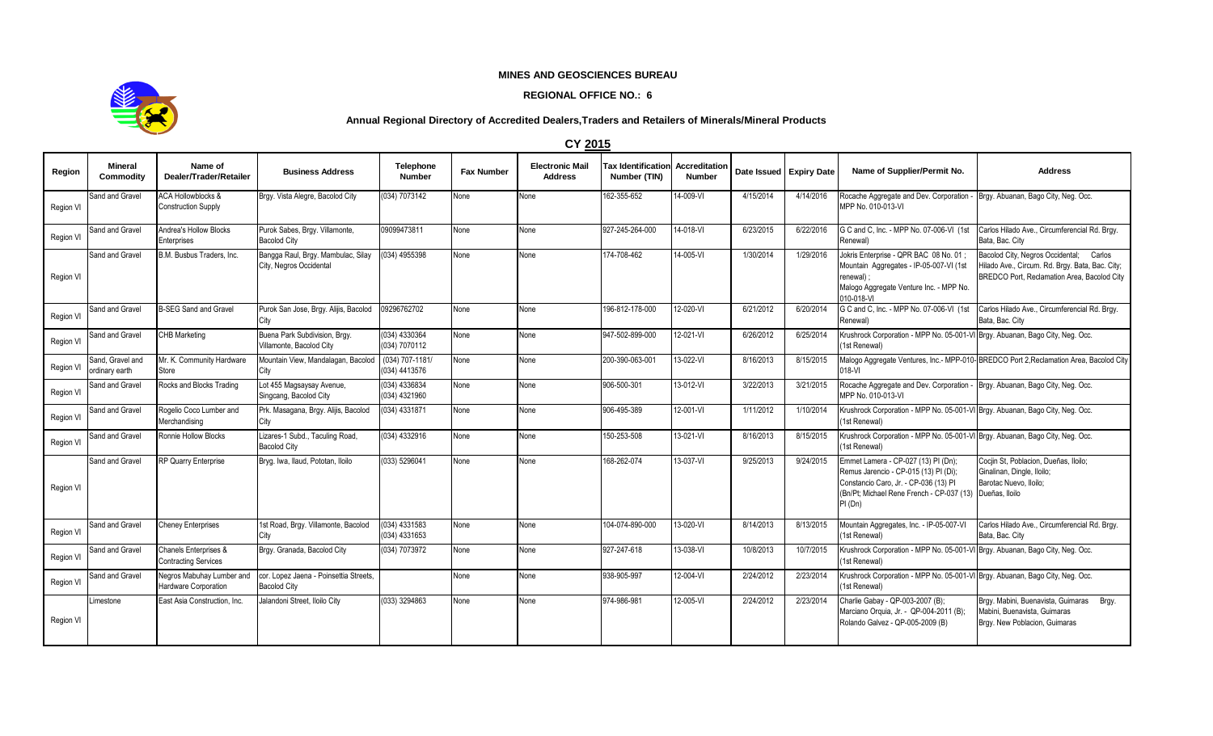## **MINES AND GEOSCIENCES BUREAU**

## **REGIONAL OFFICE NO.: 6**



## **Annual Regional Directory of Accredited Dealers,Traders and Retailers of Minerals/Mineral Products**

|           | <b>CY 2015</b>                     |                                                             |                                                               |                                  |                   |                                          |                                           |                                |                         |           |                                                                                                                                                                                             |                                                                                                                                           |
|-----------|------------------------------------|-------------------------------------------------------------|---------------------------------------------------------------|----------------------------------|-------------------|------------------------------------------|-------------------------------------------|--------------------------------|-------------------------|-----------|---------------------------------------------------------------------------------------------------------------------------------------------------------------------------------------------|-------------------------------------------------------------------------------------------------------------------------------------------|
| Region    | <b>Mineral</b><br>Commodity        | Name of<br>Dealer/Trader/Retailer                           | <b>Business Address</b>                                       | Telephone<br><b>Number</b>       | <b>Fax Number</b> | <b>Electronic Mail</b><br><b>Address</b> | <b>Tax Identification</b><br>Number (TIN) | Accreditation<br><b>Number</b> | Date Issued Expiry Date |           | Name of Supplier/Permit No.                                                                                                                                                                 | <b>Address</b>                                                                                                                            |
| Region VI | Sand and Gravel                    | <b>ACA Hollowblocks &amp;</b><br><b>Construction Supply</b> | Brgy. Vista Alegre, Bacolod City                              | (034) 7073142                    | None              | None                                     | 162-355-652                               | 14-009-VI                      | 4/15/2014               | 4/14/2016 | Rocache Aggregate and Dev. Corporation -<br>MPP No. 010-013-VI                                                                                                                              | Brgy. Abuanan, Bago City, Neg. Occ.                                                                                                       |
| Region VI | Sand and Gravel                    | Andrea's Hollow Blocks<br>Enterprises                       | Purok Sabes, Brgy. Villamonte,<br><b>Bacolod City</b>         | 09099473811                      | None              | None                                     | 927-245-264-000                           | 14-018-VI                      | 6/23/2015               | 6/22/2016 | G C and C. Inc. - MPP No. 07-006-VI (1st)<br>Renewal)                                                                                                                                       | Carlos Hilado Ave., Circumferencial Rd. Bray.<br>Bata, Bac. City                                                                          |
| Region VI | Sand and Gravel                    | B.M. Busbus Traders. Inc.                                   | Bangga Raul, Brgy. Mambulac, Silay<br>City, Negros Occidental | (034) 4955398                    | None              | None                                     | 174-708-462                               | 14-005-VI                      | 1/30/2014               | 1/29/2016 | Jokris Enterprise - QPR BAC 08 No. 01:<br>Mountain Aggregates - IP-05-007-VI (1st<br>renewal)<br>Malogo Aggregate Venture Inc. - MPP No.<br>010-018-VI                                      | Bacolod City, Negros Occidental; Carlos<br>Hilado Ave., Circum. Rd. Brqy. Bata, Bac. City;<br>BREDCO Port, Reclamation Area, Bacolod City |
| Region VI | Sand and Gravel                    | <b>B-SEG Sand and Gravel</b>                                | Purok San Jose, Brgy. Alijis, Bacolod<br>City                 | 09296762702                      | None              | Vone                                     | 196-812-178-000                           | 12-020-VI                      | 6/21/2012               | 6/20/2014 | G C and C. Inc. - MPP No. 07-006-VI (1st)<br>Renewal)                                                                                                                                       | Carlos Hilado Ave., Circumferencial Rd. Brgy.<br>Bata, Bac. City                                                                          |
| Region VI | Sand and Gravel                    | CHB Marketing                                               | Buena Park Subdivision, Brgy.<br>Villamonte, Bacolod City     | (034) 4330364<br>(034) 7070112   | None              | None                                     | 947-502-899-000                           | 12-021-VI                      | 6/26/2012               | 6/25/2014 | Krushrock Corporation - MPP No. 05-001-VI Brgy. Abuanan, Bago City, Neg. Occ.<br>1st Renewal)                                                                                               |                                                                                                                                           |
| Region VI | Sand, Gravel and<br>ordinary earth | Mr. K. Community Hardware<br>Store                          | Mountain View, Mandalagan, Bacolod<br>City                    | (034) 707-1181/<br>(034) 4413576 | None              | None                                     | 200-390-063-001                           | 13-022-VI                      | 8/16/2013               | 8/15/2015 | 018-VI                                                                                                                                                                                      | Malogo Aggregate Ventures, Inc.- MPP-010-BREDCO Port 2, Reclamation Area, Bacolod City                                                    |
| Region VI | Sand and Gravel                    | Rocks and Blocks Trading                                    | Lot 455 Magsaysay Avenue,<br>Singcang, Bacolod City           | (034) 4336834<br>(034) 4321960   | None              | None                                     | 906-500-301                               | $13-012-VI$                    | 3/22/2013               | 3/21/2015 | Rocache Aggregate and Dev. Corporation - Brgy. Abuanan, Bago City, Neg. Occ.<br>MPP No. 010-013-VI                                                                                          |                                                                                                                                           |
| Region VI | Sand and Gravel                    | Rogelio Coco Lumber and<br>Merchandising                    | Prk. Masagana, Brgy. Alijis, Bacolod<br>City                  | (034) 4331871                    | None              | None                                     | 906-495-389                               | $12 - 001 - VI$                | 1/11/2012               | 1/10/2014 | Krushrock Corporation - MPP No. 05-001-VI Brgy. Abuanan, Bago City, Neg. Occ.<br>(1st Renewal)                                                                                              |                                                                                                                                           |
| Region VI | Sand and Gravel                    | Ronnie Hollow Blocks                                        | Lizares-1 Subd., Taculing Road,<br><b>Bacolod City</b>        | (034) 4332916                    | None              | Vone                                     | 150-253-508                               | $13-021 - VI$                  | 8/16/2013               | 8/15/2015 | Krushrock Corporation - MPP No. 05-001-VI Brgy. Abuanan, Bago City, Neg. Occ.<br>(1st Renewal)                                                                                              |                                                                                                                                           |
| Region VI | Sand and Gravel                    | RP Quarry Enterprise                                        | Bryg. Iwa, Ilaud, Pototan, Iloilo                             | (033) 5296041                    | None              | None                                     | 168-262-074                               | 13-037-VI                      | 9/25/2013               | 9/24/2015 | Emmet Lamera - CP-027 (13) PI (Dn);<br>Remus Jarencio - CP-015 (13) PI (Di);<br>Constancio Caro, Jr. - CP-036 (13) PI<br>(Bn/Pt; Michael Rene French - CP-037 (13) Dueñas, Iloilo<br>PI(Dn) | Cociin St, Poblacion, Dueñas, Iloilo;<br>Ginalinan, Dingle, Iloilo;<br>Barotac Nuevo, Iloilo:                                             |
| Region VI | Sand and Gravel                    | <b>Cheney Enterprises</b>                                   | 1st Road, Brgy. Villamonte, Bacolod<br>City                   | (034) 4331583<br>(034) 4331653   | None              | None                                     | 104-074-890-000                           | 13-020-VI                      | 8/14/2013               | 8/13/2015 | Mountain Aggregates, Inc. - IP-05-007-VI<br>(1st Renewal)                                                                                                                                   | Carlos Hilado Ave., Circumferencial Rd. Brgy.<br>Bata, Bac. City                                                                          |
| Region VI | Sand and Gravel                    | Chanels Enterprises &<br><b>Contracting Services</b>        | Brgy. Granada, Bacolod City                                   | (034) 7073972                    | None              | None                                     | 927-247-618                               | 13-038-VI                      | 10/8/2013               | 10/7/2015 | Krushrock Corporation - MPP No. 05-001-VI Brgy. Abuanan, Bago City, Neg. Occ.<br>(1st Renewal)                                                                                              |                                                                                                                                           |
| Region VI | Sand and Gravel                    | Negros Mabuhay Lumber and<br>Hardware Corporation           | cor. Lopez Jaena - Poinsettia Streets,<br><b>Bacolod City</b> |                                  | None              | None                                     | 938-905-997                               | 12-004-VI                      | 2/24/2012               | 2/23/2014 | Krushrock Corporation - MPP No. 05-001-VI Brgy. Abuanan, Bago City, Neg. Occ.<br>(1st Renewal)                                                                                              |                                                                                                                                           |
| Region VI | Limestone                          | East Asia Construction, Inc.                                | Jalandoni Street, Iloilo City                                 | (033) 3294863                    | None              | None                                     | 974-986-981                               | 12-005-VI                      | 2/24/2012               | 2/23/2014 | Charlie Gabay - QP-003-2007 (B);<br>Marciano Orquia, Jr. - QP-004-2011 (B);<br>Rolando Galvez - QP-005-2009 (B)                                                                             | Brgy. Mabini, Buenavista, Guimaras Brgy.<br>Mabini, Buenavista, Guimaras<br>Brgy. New Poblacion, Guimaras                                 |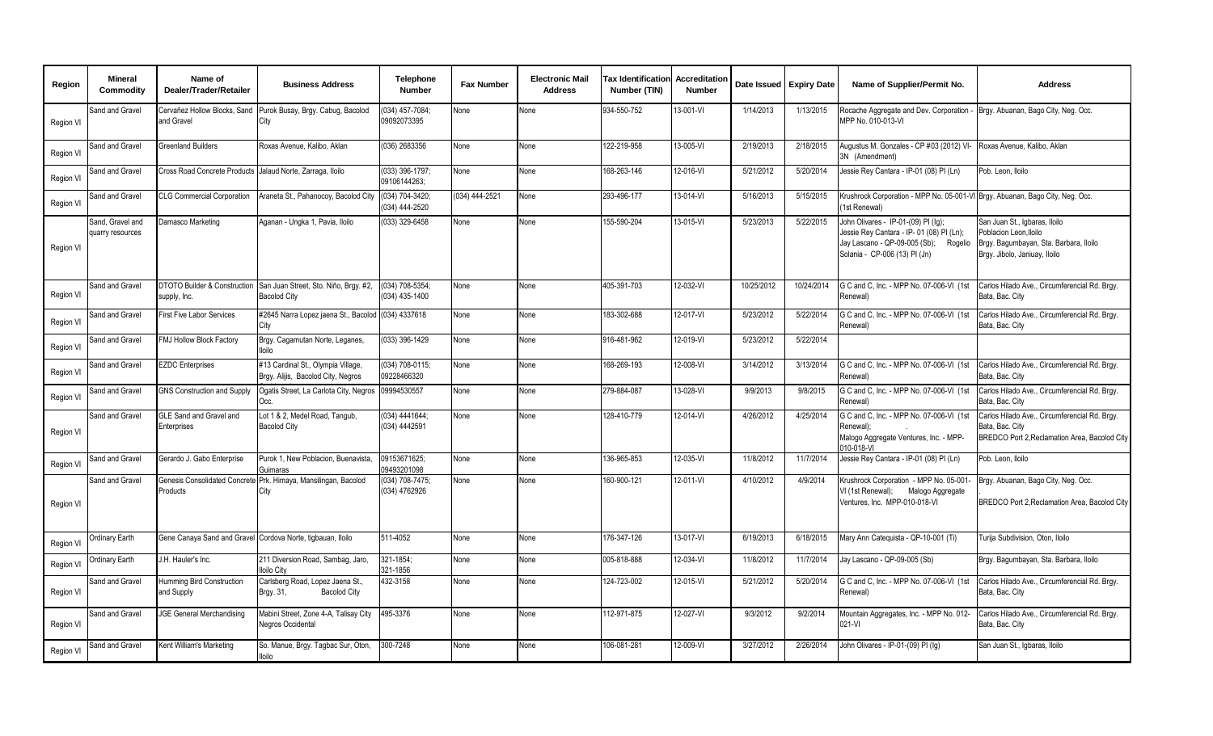| Region           | <b>Mineral</b><br>Commodity          | Name of<br>Dealer/Trader/Retailer                           | <b>Business Address</b>                                                  | <b>Telephone</b><br><b>Number</b> | <b>Fax Number</b> | <b>Electronic Mail</b><br><b>Address</b> | <b>Tax Identification</b><br>Number (TIN) | Accreditation<br><b>Number</b> | Date Issued Expiry Date |            | Name of Supplier/Permit No.                                                                                                                                                                       | <b>Address</b>                                                                                                    |
|------------------|--------------------------------------|-------------------------------------------------------------|--------------------------------------------------------------------------|-----------------------------------|-------------------|------------------------------------------|-------------------------------------------|--------------------------------|-------------------------|------------|---------------------------------------------------------------------------------------------------------------------------------------------------------------------------------------------------|-------------------------------------------------------------------------------------------------------------------|
| Region VI        | Sand and Gravel                      | Cervañez Hollow Blocks, Sand<br>and Gravel                  | Purok Busay, Brgy. Cabug, Bacolod<br>City                                | 034) 457-7084;<br>09092073395     | None              | None                                     | 934-550-752                               | 13-001-VI                      | 1/14/2013               | 1/13/2015  | Rocache Aggregate and Dev. Corporation - Brgy. Abuanan, Bago City, Neg. Occ.<br>MPP No. 010-013-VI                                                                                                |                                                                                                                   |
| Region VI        | Sand and Gravel                      | <b>Greenland Builders</b>                                   | Roxas Avenue, Kalibo, Aklan                                              | (036) 2683356                     | None              | None                                     | $\frac{1}{22-219-958}$                    | 13-005-VI                      | 2/19/2013               | 2/18/2015  | Augustus M. Gonzales - CP #03 (2012) VI- Roxas Avenue, Kalibo, Aklan<br>3N (Amendment)                                                                                                            |                                                                                                                   |
| Region VI        | Sand and Gravel                      | <b>Cross Road Concrete Products</b>                         | Jalaud Norte, Zarraga, Iloilo                                            | (033) 396-1797;<br>09106144263;   | None              | None                                     | 168-263-146                               | 12-016-VI                      | 5/21/2012               | 5/20/2014  | Jessie Rey Cantara - IP-01 (08) PI (Ln)                                                                                                                                                           | Pob. Leon, Iloilo                                                                                                 |
| <b>Region VI</b> | Sand and Gravel                      | <b>CLG Commercial Corporation</b>                           | Araneta St., Pahanocoy, Bacolod City (034) 704-3420;                     | (034) 444-2520                    | (034) 444-2521    | None                                     | 293-496-177                               | 13-014-VI                      | 5/16/2013               | 5/15/2015  | Krushrock Corporation - MPP No. 05-001-VI Brgy. Abuanan, Bago City, Neg. Occ.<br>1st Renewal)                                                                                                     |                                                                                                                   |
| Region VI        | Sand, Gravel and<br>quarry resources | Damasco Marketing                                           | Aganan - Ungka 1, Pavia, Iloilo                                          | (033) 329-6458                    | None              | None                                     | 155-590-204                               | 13-015-VI                      | 5/23/2013               | 5/22/2015  | John Olivares - IP-01-(09) PI (Iq);<br>Jessie Rey Cantara - IP- 01 (08) PI (Ln);<br>Jay Lascano - QP-09-005 (Sb); Rogelio Brgy. Bagumbayan, Sta. Barbara, Iloilo<br>Solania - CP-006 (13) PI (Jn) | San Juan St., Igbaras, Iloilo<br>Poblacion Leon, Iloilo<br>Brgy. Jibolo, Janiuay, Iloilo                          |
| Region VI        | Sand and Gravel                      | DTOTO Builder & Construction<br>supply, Inc.                | San Juan Street, Sto. Niño, Brgy. #2,<br><b>Bacolod City</b>             | (034) 708-5354;<br>(034) 435-1400 | None              | None                                     | 405-391-703                               | 12-032-VI                      | 10/25/2012              | 10/24/2014 | G C and C, Inc. - MPP No. 07-006-VI (1st<br>Renewal)                                                                                                                                              | Carlos Hilado Ave., Circumferencial Rd. Brgy.<br>Bata, Bac, City                                                  |
| Region VI        | Sand and Gravel                      | <b>First Five Labor Services</b>                            | #2645 Narra Lopez jaena St., Bacolod (034) 4337618                       |                                   | None              | None                                     | 183-302-688                               | 12-017-VI                      | 5/23/2012               | 5/22/2014  | G C and C, Inc. - MPP No. 07-006-VI (1st<br>Renewal)                                                                                                                                              | Carlos Hilado Ave., Circumferencial Rd. Brgy.<br>Bata, Bac. City                                                  |
| Region VI        | and and Gravel                       | FMJ Hollow Block Factory                                    | Brgy. Cagamutan Norte, Leganes,<br>lloilo                                | (033) 396-1429                    | None              | None                                     | 916-481-962                               | 12-019-VI                      | 5/23/2012               | 5/22/2014  |                                                                                                                                                                                                   |                                                                                                                   |
| Region VI        | Sand and Gravel                      | <b>EZDC</b> Enterprises                                     | #13 Cardinal St., Olympia Village,<br>Brgy. Alijis, Bacolod City, Negros | (034) 708-0115;<br>09228466320    | None              | None                                     | 168-269-193                               | 12-008-VI                      | 3/14/2012               | 3/13/2014  | G C and C, Inc. - MPP No. 07-006-VI (1st<br>Renewal)                                                                                                                                              | Carlos Hilado Ave., Circumferencial Rd. Brgy.<br>Bata, Bac, City                                                  |
| Region VI        | Sand and Gravel                      | <b>GNS Construction and Supply</b>                          | Ogatis Street, La Carlota City, Negros<br>Occ.                           | 09994530557                       | None              | None                                     | 279-884-087                               | 13-028-VI                      | 9/9/2013                | 9/8/2015   | G C and C, Inc. - MPP No. 07-006-VI (1st<br>Renewal)                                                                                                                                              | Carlos Hilado Ave., Circumferencial Rd. Brgy.<br>Bata, Bac. City                                                  |
| Region VI        | Sand and Gravel                      | GLE Sand and Gravel and<br>Enterprises                      | Lot 1 & 2, Medel Road, Tangub,<br><b>Bacolod City</b>                    | (034) 4441644;<br>(034) 4442591   | None              | None                                     | 128-410-779                               | 12-014-VI                      | 4/26/2012               | 4/25/2014  | G C and C, Inc. - MPP No. 07-006-VI (1st<br>Renewal):<br>Malogo Aggregate Ventures, Inc. - MPP-<br>010-018-VI                                                                                     | Carlos Hilado Ave., Circumferencial Rd. Brgy.<br>Bata, Bac. City<br>BREDCO Port 2, Reclamation Area, Bacolod City |
| Region VI        | Sand and Gravel                      | Gerardo J. Gabo Enterprise                                  | Purok 1. New Poblacion. Buenavista<br>Guimaras                           | 09153671625:<br>09493201098       | None              | None                                     | 136-965-853                               | 12-035-VI                      | 11/8/2012               | 11/7/2014  | lessie Rey Cantara - IP-01 (08) PI (Ln)                                                                                                                                                           | Pob. Leon. Iloilo                                                                                                 |
| Region VI        | Sand and Gravel                      | Products                                                    | Genesis Consolidated Concrete Prk. Himaya, Mansilingan, Bacolod<br>City  | (034) 708-7475;<br>(034) 4762926  | None              | None                                     | 160-900-121                               | 12-011-VI                      | 4/10/2012               | 4/9/2014   | Krushrock Corporation - MPP No. 05-001-<br>VI (1st Renewal);<br>Malogo Aggregate<br>Ventures, Inc. MPP-010-018-VI                                                                                 | Brgy. Abuanan, Bago City, Neg. Occ.<br>BREDCO Port 2, Reclamation Area, Bacolod City                              |
| Region VI        | Ordinary Earth                       | Gene Canaya Sand and Gravel Cordova Norte, tigbauan, Iloilo |                                                                          | 511-4052                          | None              | None                                     | 176-347-126                               | 13-017-VI                      | 6/19/2013               | 6/18/2015  | Mary Ann Catequista - QP-10-001 (Ti)                                                                                                                                                              | Turija Subdivision, Oton, Iloilo                                                                                  |
| Region VI        | Irdinary Earth                       | J.H. Hauler's Inc.                                          | 211 Diversion Road, Sambag, Jaro,<br><b>Iloilo City</b>                  | 321-1854:<br>321-1856             | None              | None                                     | 005-818-888                               | 12-034-VI                      | 11/8/2012               | 11/7/2014  | Jay Lascano - QP-09-005 (Sb)                                                                                                                                                                      | Brgy. Bagumbayan, Sta. Barbara, Iloilo                                                                            |
| Region VI        | Sand and Gravel                      | Humming Bird Construction<br>and Supply                     | Carlsberg Road, Lopez Jaena St.,<br>Brgy. 31,<br><b>Bacolod City</b>     | 432-3158                          | None              | None                                     | 124-723-002                               | 12-015-VI                      | 5/21/2012               | 5/20/2014  | G C and C, Inc. - MPP No. 07-006-VI (1st<br>Renewal)                                                                                                                                              | Carlos Hilado Ave., Circumferencial Rd. Brav.<br>Bata, Bac. City                                                  |
| Region VI        | Sand and Gravel                      | JGE General Merchandising                                   | Mabini Street, Zone 4-A, Talisay City<br>Negros Occidental               | 495-3376                          | None              | None                                     | 112-971-875                               | 12-027-VI                      | 9/3/2012                | 9/2/2014   | Mountain Aggregates, Inc. - MPP No. 012-<br>$021 - VI$                                                                                                                                            | Carlos Hilado Ave., Circumferencial Rd. Brgy.<br>Bata, Bac. City                                                  |
| Region VI        | Sand and Gravel                      | Kent William's Marketing                                    | So. Manue, Brgy. Tagbac Sur, Oton,<br>lloilo                             | 300-7248                          | None              | None                                     | 106-081-281                               | 12-009-VI                      | 3/27/2012               | 2/26/2014  | John Olivares - IP-01-(09) PI (Iq)                                                                                                                                                                | San Juan St., Igbaras, Iloilo                                                                                     |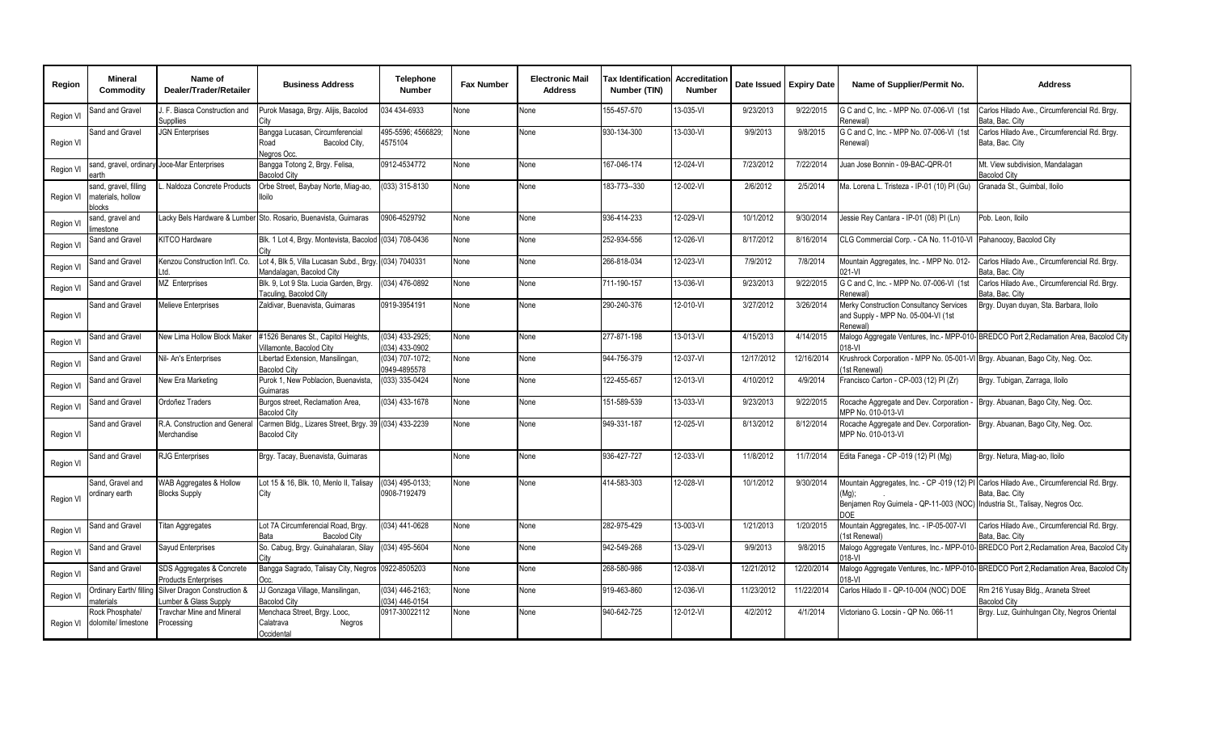| Region    | <b>Mineral</b><br>Commodity                                 | Name of<br>Dealer/Trader/Retailer                        | <b>Business Address</b>                                                            | <b>Telephone</b><br><b>Number</b> | <b>Fax Number</b> | <b>Electronic Mail</b><br><b>Address</b> | <b>Tax Identification Accreditation</b><br>Number (TIN) | <b>Number</b> |            | Date Issued Expiry Date | Name of Supplier/Permit No.                                                                         | <b>Address</b>                                                                                               |
|-----------|-------------------------------------------------------------|----------------------------------------------------------|------------------------------------------------------------------------------------|-----------------------------------|-------------------|------------------------------------------|---------------------------------------------------------|---------------|------------|-------------------------|-----------------------------------------------------------------------------------------------------|--------------------------------------------------------------------------------------------------------------|
| Region VI | Sand and Gravel                                             | J. F. Biasca Construction and<br>Suppllies               | Purok Masaga, Brgy. Alijis, Bacolod<br>Citv                                        | 034 434-6933                      | None              | None                                     | 155-457-570                                             | 13-035-VI     | 9/23/2013  | 9/22/2015               | G C and C, Inc. - MPP No. 07-006-VI (1st<br>Renewal)                                                | Carlos Hilado Ave., Circumferencial Rd. Brgy.<br>Bata, Bac, City                                             |
| Region VI | Sand and Gravel                                             | <b>JGN Enterprises</b>                                   | Bangga Lucasan, Circumferencial<br>Bacolod City,<br>Road<br>Nearos Occ.            | 495-5596: 4566829:<br>4575104     | None              | None                                     | 930-134-300                                             | 13-030-VI     | 9/9/2013   | 9/8/2015                | G C and C, Inc. - MPP No. 07-006-VI (1st<br>Renewal)                                                | Carlos Hilado Ave., Circumferencial Rd. Brgy.<br>Bata, Bac. City                                             |
| Region VI | arth                                                        | sand, gravel, ordinary Joce-Mar Enterprises              | Bangga Totong 2, Brgy. Felisa,<br><b>Bacolod City</b>                              | 0912-4534772                      | None              | None                                     | 167-046-174                                             | 12-024-VI     | 7/23/2012  | 7/22/2014               | Juan Jose Bonnin - 09-BAC-QPR-01                                                                    | Mt. View subdivision, Mandalagan<br><b>Bacolod City</b>                                                      |
| Region VI | sand, gravel, filling<br>materials, hollow<br><b>plocks</b> | Naldoza Concrete Products                                | Orbe Street, Baybay Norte, Miag-ao,<br>lloilo                                      | (033) 315-8130                    | None              | None                                     | 183-773--330                                            | 12-002-VI     | 2/6/2012   | 2/5/2014                | Ma. Lorena L. Tristeza - IP-01 (10) PI (Gu)                                                         | Granada St., Guimbal, Iloilo                                                                                 |
| Region VI | sand, gravel and<br>imestone                                |                                                          | Lacky Bels Hardware & Lumber Sto. Rosario, Buenavista, Guimaras                    | 0906-4529792                      | None              | None                                     | 936-414-233                                             | 12-029-VI     | 10/1/2012  | 9/30/2014               | Jessie Rey Cantara - IP-01 (08) PI (Ln)                                                             | Pob. Leon, Iloilo                                                                                            |
| Region VI | Sand and Gravel                                             | KITCO Hardware                                           | Blk. 1 Lot 4, Brgy. Montevista, Bacolod (034) 708-0436                             |                                   | None              | None                                     | 252-934-556                                             | 12-026-VI     | 8/17/2012  | 8/16/2014               | CLG Commercial Corp. - CA No. 11-010-VI                                                             | Pahanocoy, Bacolod City                                                                                      |
| Region VI | Sand and Gravel                                             | Kenzou Construction Int'l, Co.                           | Lot 4, Blk 5, Villa Lucasan Subd., Brgy. (034) 7040331<br>Mandalagan, Bacolod City |                                   | None              | None                                     | 266-818-034                                             | 12-023-VI     | 7/9/2012   | 7/8/2014                | Mountain Aggregates, Inc. - MPP No. 012-<br>021-VI                                                  | Carlos Hilado Ave., Circumferencial Rd. Brqy.<br>Bata, Bac, City                                             |
| Region VI | Sand and Gravel                                             | MZ Enterprises                                           | Blk. 9, Lot 9 Sta. Lucia Garden, Brgy.<br>Taculing, Bacolod City                   | (034) 476-0892                    | None              | None                                     | 711-190-157                                             | 13-036-VI     | 9/23/2013  | 9/22/2015               | G C and C, Inc. - MPP No. 07-006-VI (1st<br>Renewal)                                                | Carlos Hilado Ave., Circumferencial Rd. Brgy.<br>Bata, Bac, City                                             |
| Region VI | Sand and Gravel                                             | Melieve Enterprises                                      | Zaldivar, Buenavista, Guimaras                                                     | 0919-3954191                      | None              | None                                     | 290-240-376                                             | 12-010-VI     | 3/27/2012  | 3/26/2014               | Merky Construction Consultancy Services<br>and Supply - MPP No. 05-004-VI (1st<br>Renewali          | Brgy. Duyan duyan, Sta. Barbara, Iloilo                                                                      |
| Region VI | Sand and Gravel                                             | New Lima Hollow Block Maker                              | #1526 Benares St., Capitol Heights.<br>Villamonte, Bacolod City                    | (034) 433-2925;<br>(034) 433-0902 | None              | None                                     | 277-871-198                                             | 13-013-VI     | 4/15/2013  | 4/14/2015               | 018-VI                                                                                              | Malogo Aggregate Ventures, Inc.- MPP-010-BREDCO Port 2, Reclamation Area, Bacolod City                       |
| Region VI | Sand and Gravel                                             | Nil- An's Enterprises                                    | Libertad Extension, Mansilingan,<br><b>Bacolod City</b>                            | (034) 707-1072;<br>0949-4895578   | None              | None                                     | 944-756-379                                             | 12-037-VI     | 12/17/2012 | 12/16/2014              | Krushrock Corporation - MPP No. 05-001-VI Brgy. Abuanan, Bago City, Neg. Occ.<br><b>Ist Renewal</b> |                                                                                                              |
| Region VI | Sand and Gravel                                             | New Era Marketing                                        | Purok 1, New Poblacion, Buenavista,<br>Guimaras                                    | 033) 335-0424                     | None              | None                                     | 122-455-657                                             | 12-013-VI     | 4/10/2012  | 4/9/2014                | Francisco Carton - CP-003 (12) PI (Zr)                                                              | Brgy. Tubigan, Zarraga, Iloilo                                                                               |
| Region VI | Sand and Gravel                                             | Ordoñez Traders                                          | Burgos street, Reclamation Area,<br><b>Bacolod City</b>                            | (034) 433-1678                    | None              | None                                     | 151-589-539                                             | 13-033-VI     | 9/23/2013  | 9/22/2015               | Rocache Aggregate and Dev. Corporation<br>MPP No. 010-013-VI                                        | Brgy. Abuanan, Bago City, Neg. Occ.                                                                          |
| Region VI | Sand and Gravel                                             | R.A. Construction and General<br>Merchandise             | Carmen Bldg., Lizares Street, Brgy. 39 (034) 433-2239<br><b>Bacolod City</b>       |                                   | None              | None                                     | 949-331-187                                             | 12-025-VI     | 8/13/2012  | 8/12/2014               | Rocache Aggregate and Dev. Corporation-<br>MPP No. 010-013-VI                                       | Brgy. Abuanan, Bago City, Neg. Occ.                                                                          |
| Region VI | Sand and Gravel                                             | <b>RJG Enterprises</b>                                   | Brgy. Tacay, Buenavista, Guimaras                                                  |                                   | None              | None                                     | 936-427-727                                             | 12-033-VI     | 11/8/2012  | 11/7/2014               | Edita Fanega - CP -019 (12) PI (Mg)                                                                 | Brgy. Netura, Miag-ao, Iloilo                                                                                |
| Region VI | Sand, Gravel and<br>ordinary earth                          | WAB Aggregates & Hollow<br><b>Blocks Supply</b>          | Lot 15 & 16, Blk. 10, Menlo II, Talisay<br>City                                    | (034) 495-0133;<br>0908-7192479   | None              | None                                     | 414-583-303                                             | 12-028-VI     | 10/1/2012  | 9/30/2014               | (Mg);<br>Benjamen Roy Guirnela - QP-11-003 (NOC) Industria St., Talisay, Negros Occ.<br>COF         | Mountain Aggregates, Inc. - CP -019 (12) PI Carlos Hilado Ave., Circumferencial Rd. Brgy.<br>Bata, Bac. City |
| Region VI | Sand and Gravel                                             | <b>Titan Aggregates</b>                                  | Lot 7A Circumferencial Road, Brgy.<br><b>Bacolod City</b>                          | (034) 441-0628                    | None              | None                                     | 282-975-429                                             | 13-003-VI     | 1/21/2013  | 1/20/2015               | Mountain Aggregates, Inc. - IP-05-007-VI<br>1st Renewal)                                            | Carlos Hilado Ave., Circumferencial Rd. Brgy.<br>Bata, Bac, Citv                                             |
| Region VI | Sand and Gravel                                             | Sayud Enterprises                                        | So. Cabug, Brgy. Guinahalaran, Silay                                               | (034) 495-5604                    | None              | None                                     | 942-549-268                                             | 13-029-VI     | 9/9/2013   | 9/8/2015                | 018-VI                                                                                              | Malogo Aggregate Ventures, Inc.- MPP-010- BREDCO Port 2, Reclamation Area, Bacolod City                      |
| Region VI | Sand and Gravel                                             | SDS Aggregates & Concrete<br><b>Products Enterprises</b> | Bangga Sagrado, Talisay City, Negros                                               | 0922-8505203                      | None              | None                                     | 268-580-986                                             | 12-038-VI     | 12/21/2012 | 12/20/2014              | $18-Vl$                                                                                             | Malogo Aggregate Ventures, Inc.- MPP-010-BREDCO Port 2, Reclamation Area, Bacolod City                       |
| Region VI | Ordinary Earth/ filling<br>naterials                        | Silver Dragon Construction &<br>umber & Glass Supply     | JJ Gonzaga Village, Mansilingan,<br><b>Bacolod City</b>                            | (034) 446-2163;<br>(034) 446-0154 | None              | None                                     | 919-463-860                                             | 12-036-VI     | 11/23/2012 | 11/22/2014              | Carlos Hilado II - QP-10-004 (NOC) DOE                                                              | Rm 216 Yusay Bldg., Araneta Street<br><b>Bacolod City</b>                                                    |
| Region VI | Rock Phosphate/<br>dolomite/ limestone                      | Travchar Mine and Mineral<br>Processing                  | Menchaca Street, Brgy. Looc,<br>Calatrava<br>Negros<br>Occidental                  | 0917-30022112                     | None              | None                                     | 940-642-725                                             | 12-012-VI     | 4/2/2012   | 4/1/2014                | Victoriano G. Locsin - QP No. 066-11                                                                | Brgy. Luz, Guinhulngan City, Negros Oriental                                                                 |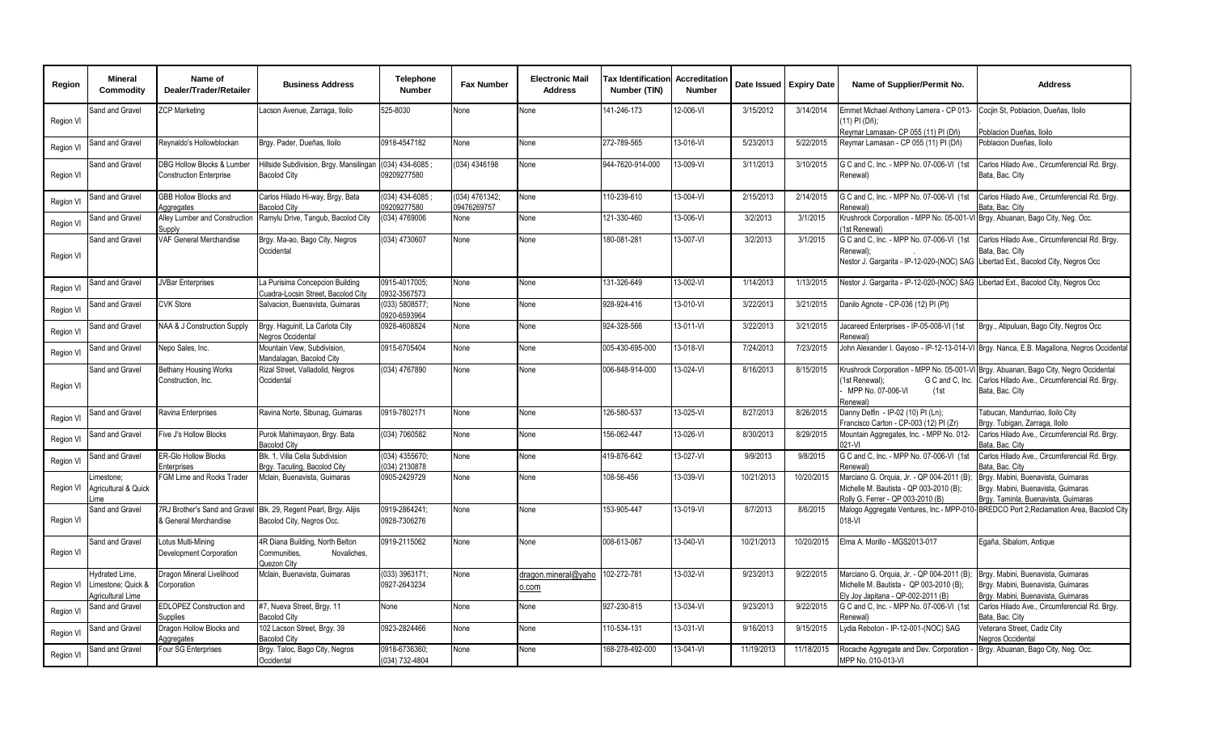| Region    | <b>Mineral</b><br>Commodity                               | Name of<br>Dealer/Trader/Retailer                            | <b>Business Address</b>                                                                        | Telephone<br><b>Number</b>      | <b>Fax Number</b>             | <b>Electronic Mail</b><br><b>Address</b> | <b>Tax Identification</b><br>Number (TIN) | <b>Accreditation</b><br><b>Number</b> |            | Date Issued   Expiry Date | Name of Supplier/Permit No.                                                                                                                | <b>Address</b>                                                                                                                                           |
|-----------|-----------------------------------------------------------|--------------------------------------------------------------|------------------------------------------------------------------------------------------------|---------------------------------|-------------------------------|------------------------------------------|-------------------------------------------|---------------------------------------|------------|---------------------------|--------------------------------------------------------------------------------------------------------------------------------------------|----------------------------------------------------------------------------------------------------------------------------------------------------------|
| Region VI | Sand and Gravel                                           | <b>ZCP Marketing</b>                                         | Lacson Avenue, Zarraga, Iloilo                                                                 | 525-8030                        | None                          | None                                     | 141-246-173                               | 12-006-VI                             | 3/15/2012  | 3/14/2014                 | Emmet Michael Anthony Lamera - CP 013-<br>(11) PI (Dñ);                                                                                    | Cocjin St, Poblacion, Dueñas, Iloilo                                                                                                                     |
| Region VI | Sand and Gravel                                           | Reynaldo's Hollowblockan                                     | Brgy. Pader, Dueñas, Iloilo                                                                    | 0918-4547182                    | None                          | None                                     | 272-789-565                               | 13-016-VI                             | 5/23/2013  | 5/22/2015                 | Reymar Lamasan- CP 055 (11) PI (Dñ)<br>Reymar Lamasan - CP 055 (11) PI (Dñ)                                                                | Poblacion Dueñas, Iloilo<br>Poblacion Dueñas, Iloilo                                                                                                     |
| Region VI | Sand and Gravel                                           | DBG Hollow Blocks & Lumber<br><b>Construction Enterprise</b> | Hillside Subdivision, Brgy. Mansilingan (034) 434-6085<br><b>Bacolod City</b>                  | 09209277580                     | (034) 4346198                 | None                                     | 944-7620-914-000                          | 13-009-VI                             | 3/11/2013  | 3/10/2015                 | G C and C, Inc. - MPP No. 07-006-VI (1st<br>Renewal)                                                                                       | Carlos Hilado Ave., Circumferencial Rd. Brgy.<br>Bata, Bac. City                                                                                         |
| Region VI | Sand and Gravel                                           | GBB Hollow Blocks and<br>Aggregates                          | Carlos Hilado Hi-way, Brgy. Bata<br><b>Bacolod City</b>                                        | (034) 434-6085<br>09209277580   | (034) 4761342;<br>09476269757 | None                                     | 110-239-610                               | 13-004-VI                             | 2/15/2013  | 2/14/2015                 | G C and C, Inc. - MPP No. 07-006-VI (1st<br>Renewal)                                                                                       | Carlos Hilado Ave., Circumferencial Rd. Brgy.<br>Bata, Bac, Citv                                                                                         |
| Region VI | Sand and Gravel                                           | Alley Lumber and Construction<br>Supply                      | Ramylu Drive, Tangub, Bacolod City                                                             | (034) 4769006                   | None                          | None                                     | 121-330-460                               | 13-006-VI                             | 3/2/2013   | 3/1/2015                  | Krushrock Corporation - MPP No. 05-001-V<br>(1st Renewal)                                                                                  | Brgy. Abuanan, Bago City, Neg. Occ.                                                                                                                      |
| Region VI | Sand and Gravel                                           | <b>VAF General Merchandise</b>                               | Brgy. Ma-ao, Bago City, Negros<br>Occidental                                                   | (034) 4730607                   | None                          | None                                     | 180-081-281                               | 13-007-VI                             | 3/2/2013   | 3/1/2015                  | G C and C, Inc. - MPP No. 07-006-VI (1st<br>Renewal):<br>Nestor J. Gargarita - IP-12-020-(NOC) SAG Libertad Ext., Bacolod City, Negros Occ | Carlos Hilado Ave., Circumferencial Rd. Brgy.<br>Bata, Bac. City                                                                                         |
| Region VI | Sand and Gravel                                           | <b>JVBar Enterprises</b>                                     | La Purisima Concepcion Building<br>Cuadra-Locsin Street, Bacolod City                          | 0915-4017005;<br>0932-3567573   | None                          | None                                     | 131-326-649                               | 13-002-VI                             | 1/14/2013  | 1/13/2015                 | Nestor J. Gargarita - IP-12-020-(NOC) SAG Libertad Ext., Bacolod City, Negros Occ                                                          |                                                                                                                                                          |
| Region VI | Sand and Gravel                                           | <b>CVK Store</b>                                             | Salvacion, Buenavista, Guimaras                                                                | (033) 5808577;<br>0920-6593964  | None                          | None                                     | 928-924-416                               | 13-010-VI                             | 3/22/2013  | 3/21/2015                 | Danilo Agnote - CP-036 (12) PI (Pt)                                                                                                        |                                                                                                                                                          |
| Region VI | Sand and Gravel                                           | NAA & J Construction Supply                                  | Brgy. Haguinit, La Carlota City<br>Negros Occidental                                           | 0928-4608824                    | None                          | None                                     | 924-328-566                               | 13-011-VI                             | 3/22/2013  | 3/21/2015                 | Jacareed Enterprises - IP-05-008-VI (1st<br>Renewal)                                                                                       | Brgy., Atipuluan, Bago City, Negros Occ                                                                                                                  |
| Region VI | Sand and Gravel                                           | Nepo Sales, Inc.                                             | Mountain View, Subdivision,<br>Mandalagan, Bacolod City                                        | 0915-6705404                    | None                          | None                                     | 005-430-695-000                           | 13-018-VI                             | 7/24/2013  | 7/23/2015                 |                                                                                                                                            | John Alexander I. Gayoso - IP-12-13-014-VI Brgy. Nanca, E.B. Magallona, Negros Occidental                                                                |
| Region VI | Sand and Gravel                                           | <b>Bethany Housing Works</b><br>Construction, Inc.           | Rizal Street, Valladolid, Negros<br>Occidental                                                 | (034) 4767890                   | None                          | None                                     | 006-848-914-000                           | 13-024-VI                             | 8/16/2013  | 8/15/2015                 | G C and C, Inc.<br>1st Renewal):<br>MPP No. 07-006-VI<br>(1st<br>Renewal`                                                                  | Krushrock Corporation - MPP No. 05-001-VI Brgy. Abuanan, Bago City, Negro Occidental<br>Carlos Hilado Ave., Circumferencial Rd. Brgy.<br>Bata, Bac. City |
| Region VI | Sand and Gravel                                           | Ravina Enterprises                                           | Ravina Norte, Sibunag, Guimaras                                                                | 0919-7802171                    | None                          | None                                     | 126-580-537                               | 13-025-VI                             | 8/27/2013  | 8/26/2015                 | Danny Delfin - IP-02 (10) PI (Ln);<br>Francisco Carton - CP-003 (12) PI (Zr)                                                               | Tabucan, Mandurriao, Iloilo City<br>Brgy. Tubigan, Zarraga, Iloilo                                                                                       |
| Region VI | Sand and Gravel                                           | Five J's Hollow Blocks                                       | Purok Mahimayaon, Brgy. Bata<br><b>Bacolod City</b>                                            | (034) 7060582                   | None                          | None                                     | 156-062-447                               | 13-026-VI                             | 8/30/2013  | 8/29/2015                 | Mountain Aggregates, Inc. - MPP No. 012-<br>021-VI                                                                                         | Carlos Hilado Ave., Circumferencial Rd. Brgy.<br>Bata. Bac. Citv                                                                                         |
| Region VI | Sand and Gravel                                           | <b>ER-Glo Hollow Blocks</b><br>Enterprises                   | Blk. 1, Villa Celia Subdivision<br>Brav, Taculing, Bacolod City                                | (034) 4355670;<br>034) 2130878  | None                          | None                                     | 419-876-642                               | $13-027 - VI$                         | 9/9/2013   | 9/8/2015                  | G C and C, Inc. - MPP No. 07-006-VI (1st<br>Renewal)                                                                                       | Carlos Hilado Ave., Circumferencial Rd. Brgy.<br>Bata, Bac, City                                                                                         |
| Region VI | imestone:<br>Agricultural & Quick<br>ime                  | <b>FGM Lime and Rocks Trader</b>                             | Mclain, Buenavista, Guimaras                                                                   | 0905-2429729                    | None                          | None                                     | 108-56-456                                | 13-039-VI                             | 10/21/2013 | 10/20/2015                | Marciano G. Orquia, Jr. - QP 004-2011 (B);<br>Michelle M. Bautista - QP 003-2010 (B):<br>Rolly G. Ferrer - QP 003-2010 (B)                 | Brgy. Mabini, Buenavista, Guimaras<br>Brgy. Mabini, Buenavista, Guimaras<br>Brgy. Taminla, Buenavista, Guimaras                                          |
| Region VI | Sand and Gravel                                           | & General Merchandise                                        | 7RJ Brother's Sand and Gravel Blk. 29, Regent Pearl, Brgy. Alijis<br>Bacolod City, Negros Occ. | 0919-2864241:<br>0928-7306276   | None                          | None                                     | 153-905-447                               | 13-019-VI                             | 8/7/2013   | 8/6/2015                  | Malogo Aggregate Ventures, Inc.- MPP-010<br>018-VI                                                                                         | BREDCO Port 2. Reclamation Area. Bacolod City                                                                                                            |
| Region VI | Sand and Gravel                                           | Lotus Multi-Mining<br>Development Corporation                | 4R Diana Building, North Belton<br>Novaliches.<br>Communities.<br>Quezon City                  | 0919-2115062                    | None                          | None                                     | 008-613-067                               | 13-040-VI                             | 10/21/2013 | 10/20/2015                | Elma A. Morillo - MGS2013-017                                                                                                              | Egaña, Sibalom, Antique                                                                                                                                  |
| Region VI | Hydrated Lime.<br>Limestone; Quick &<br>Agricultural Lime | Dragon Mineral Livelihood<br>Corporation                     | Mclain, Buenavista, Guimaras                                                                   | (033) 3963171;<br>0927-2643234  | None                          | dragon mineral@yaho<br>0.00 <sub>m</sub> | 102-272-781                               | 13-032-VI                             | 9/23/2013  | 9/22/2015                 | Marciano G. Orquia, Jr. - QP 004-2011 (B);<br>Michelle M. Bautista - QP 003-2010 (B);<br>Elv Jov Japitana - QP-002-2011 (B)                | Brgy. Mabini, Buenavista, Guimaras<br>Brgy. Mabini, Buenavista, Guimaras<br>Brav, Mabini, Buenavista, Guimaras                                           |
| Region VI | Sand and Gravel                                           | EDLOPEZ Construction and<br>Supplies                         | #7, Nueva Street, Brgy. 11<br><b>Bacolod City</b>                                              | None                            | None                          | None                                     | 927-230-815                               | 13-034-VI                             | 9/23/2013  | 9/22/2015                 | G C and C, Inc. - MPP No. 07-006-VI (1st<br>Renewal)                                                                                       | Carlos Hilado Ave., Circumferencial Rd. Brgy.<br>Bata, Bac, Citv                                                                                         |
| Region VI | Sand and Gravel                                           | Dragon Hollow Blocks and<br>Aggregates                       | 102 Lacson Street, Brgy. 39<br><b>Bacolod City</b>                                             | 0923-2824466                    | None                          | None                                     | 110-534-131                               | 13-031-VI                             | 9/16/2013  | 9/15/2015                 | Lydia Reboton - IP-12-001-(NOC) SAG                                                                                                        | Veterans Street, Cadiz City<br>Negros Occidental                                                                                                         |
| Region VI | Sand and Gravel                                           | Four SG Enterprises                                          | Brgy. Taloc, Bago City, Negros<br>Occidental                                                   | 0918-6736360;<br>(034) 732-4804 | None                          | None                                     | 168-278-492-000                           | 13-041-VI                             | 11/19/2013 | 11/18/2015                | Rocache Aggregate and Dev. Corporation -<br>MPP No. 010-013-VI                                                                             | Brgy. Abuanan, Bago City, Neg. Occ.                                                                                                                      |